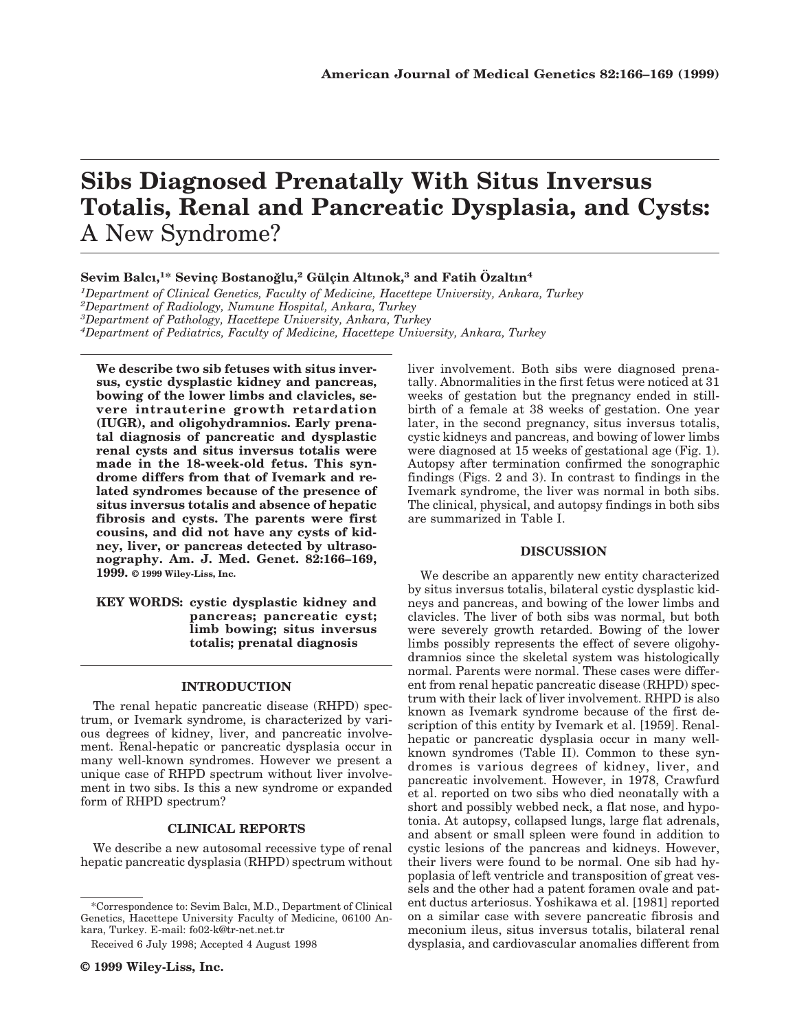# **Sibs Diagnosed Prenatally With Situs Inversus Totalis, Renal and Pancreatic Dysplasia, and Cysts:** A New Syndrome?

**Sevim Balcı,**<sup>1\*</sup> Sevinc Bostanoğlu,<sup>2</sup> Gülcin Altınok,<sup>3</sup> and Fatih Özaltın<sup>4</sup>

*1Department of Clinical Genetics, Faculty of Medicine, Hacettepe University, Ankara, Turkey 2Department of Radiology, Numune Hospital, Ankara, Turkey 3Department of Pathology, Hacettepe University, Ankara, Turkey*

*4Department of Pediatrics, Faculty of Medicine, Hacettepe University, Ankara, Turkey*

**We describe two sib fetuses with situs inversus, cystic dysplastic kidney and pancreas, bowing of the lower limbs and clavicles, severe intrauterine growth retardation (IUGR), and oligohydramnios. Early prenatal diagnosis of pancreatic and dysplastic renal cysts and situs inversus totalis were made in the 18-week-old fetus. This syndrome differs from that of Ivemark and related syndromes because of the presence of situs inversus totalis and absence of hepatic fibrosis and cysts. The parents were first cousins, and did not have any cysts of kidney, liver, or pancreas detected by ultrasonography. Am. J. Med. Genet. 82:166–169, 1999. © 1999 Wiley-Liss, Inc.**

**KEY WORDS: cystic dysplastic kidney and pancreas; pancreatic cyst; limb bowing; situs inversus totalis; prenatal diagnosis**

### **INTRODUCTION**

The renal hepatic pancreatic disease (RHPD) spectrum, or Ivemark syndrome, is characterized by various degrees of kidney, liver, and pancreatic involvement. Renal-hepatic or pancreatic dysplasia occur in many well-known syndromes. However we present a unique case of RHPD spectrum without liver involvement in two sibs. Is this a new syndrome or expanded form of RHPD spectrum?

## **CLINICAL REPORTS**

We describe a new autosomal recessive type of renal hepatic pancreatic dysplasia (RHPD) spectrum without liver involvement. Both sibs were diagnosed prenatally. Abnormalities in the first fetus were noticed at 31 weeks of gestation but the pregnancy ended in stillbirth of a female at 38 weeks of gestation. One year later, in the second pregnancy, situs inversus totalis, cystic kidneys and pancreas, and bowing of lower limbs were diagnosed at 15 weeks of gestational age (Fig. 1). Autopsy after termination confirmed the sonographic findings (Figs. 2 and 3). In contrast to findings in the Ivemark syndrome, the liver was normal in both sibs. The clinical, physical, and autopsy findings in both sibs are summarized in Table I.

## **DISCUSSION**

We describe an apparently new entity characterized by situs inversus totalis, bilateral cystic dysplastic kidneys and pancreas, and bowing of the lower limbs and clavicles. The liver of both sibs was normal, but both were severely growth retarded. Bowing of the lower limbs possibly represents the effect of severe oligohydramnios since the skeletal system was histologically normal. Parents were normal. These cases were different from renal hepatic pancreatic disease (RHPD) spectrum with their lack of liver involvement. RHPD is also known as Ivemark syndrome because of the first description of this entity by Ivemark et al. [1959]. Renalhepatic or pancreatic dysplasia occur in many wellknown syndromes (Table II). Common to these syndromes is various degrees of kidney, liver, and pancreatic involvement. However, in 1978, Crawfurd et al. reported on two sibs who died neonatally with a short and possibly webbed neck, a flat nose, and hypotonia. At autopsy, collapsed lungs, large flat adrenals, and absent or small spleen were found in addition to cystic lesions of the pancreas and kidneys. However, their livers were found to be normal. One sib had hypoplasia of left ventricle and transposition of great vessels and the other had a patent foramen ovale and patent ductus arteriosus. Yoshikawa et al. [1981] reported on a similar case with severe pancreatic fibrosis and meconium ileus, situs inversus totalis, bilateral renal dysplasia, and cardiovascular anomalies different from

<sup>\*</sup>Correspondence to: Sevim Balcı, M.D., Department of Clinical Genetics, Hacettepe University Faculty of Medicine, 06100 Ankara, Turkey. E-mail: fo02-k@tr-net.net.tr

Received 6 July 1998; Accepted 4 August 1998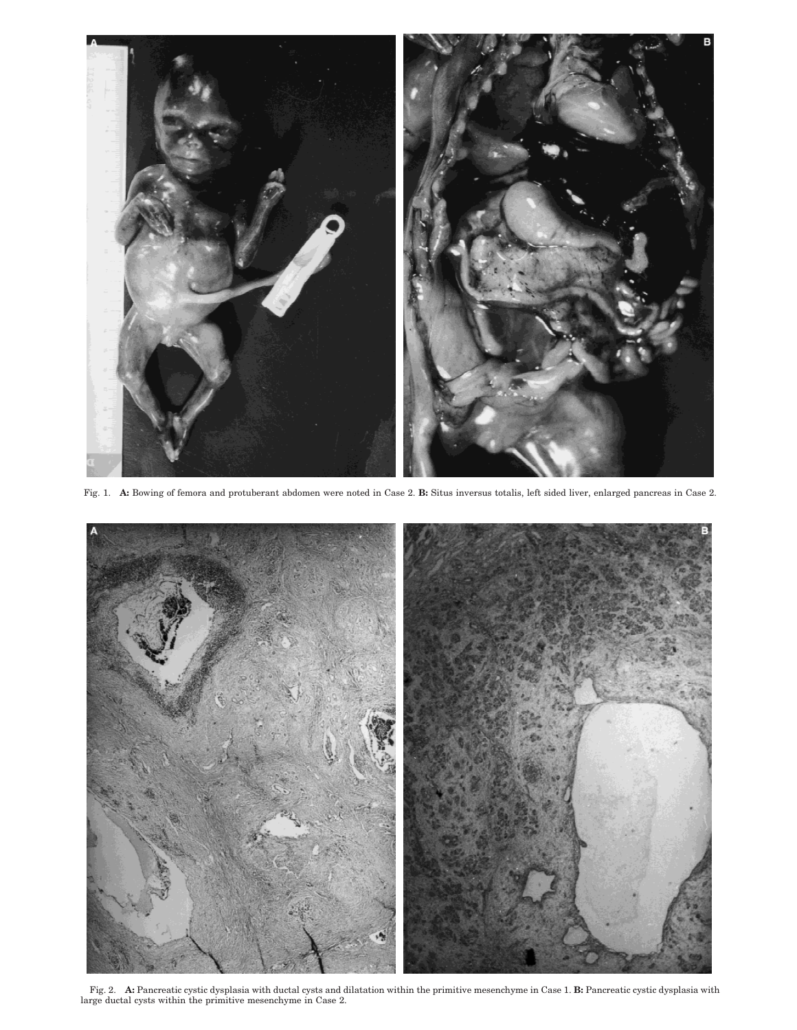

Fig. 1. **A:** Bowing of femora and protuberant abdomen were noted in Case 2. **B:** Situs inversus totalis, left sided liver, enlarged pancreas in Case 2.



Fig. 2. A: Pancreatic cystic dysplasia with ductal cysts and dilatation within the primitive mesenchyme in Case 1. B: Pancreatic cystic dysplasia with large ductal cysts within the primitive mesenchyme in Case 2.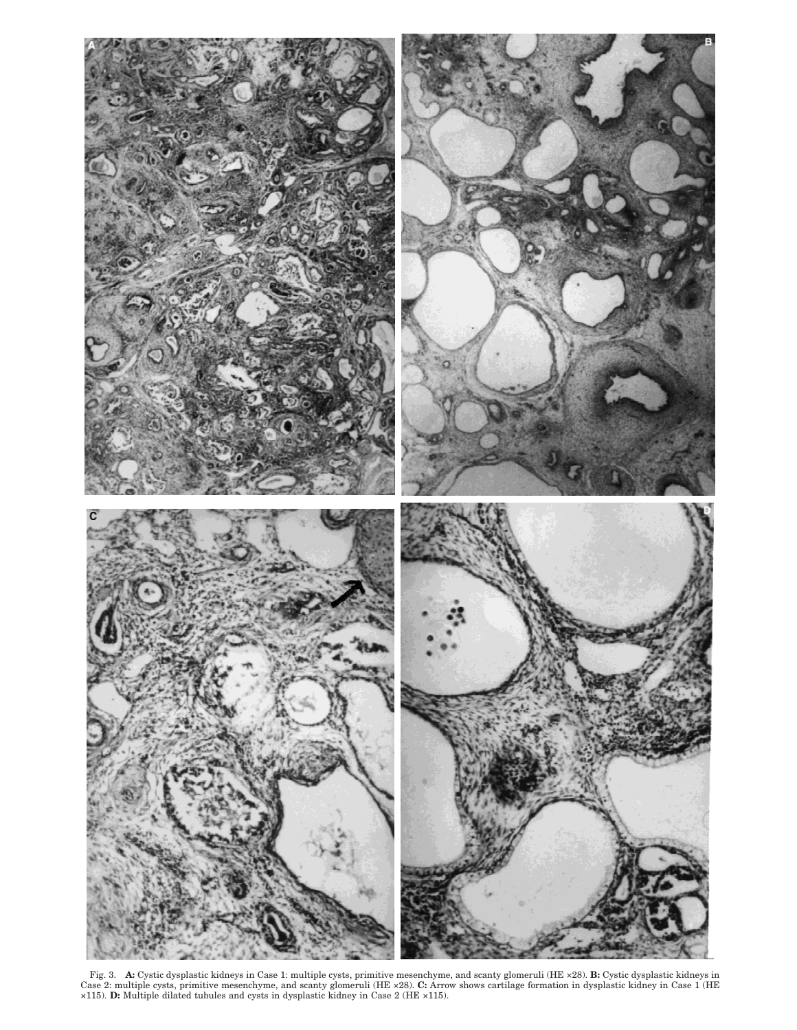

Fig. 3. A: Cystic dysplastic kidneys in Case 1: multiple cysts, primitive mesenchyme, and scanty glomeruli (HE  $\times$ 28). B: Cystic dysplastic kidneys in Case 2: multiple cysts, primitive mesenchyme, and scanty glomeruli (H